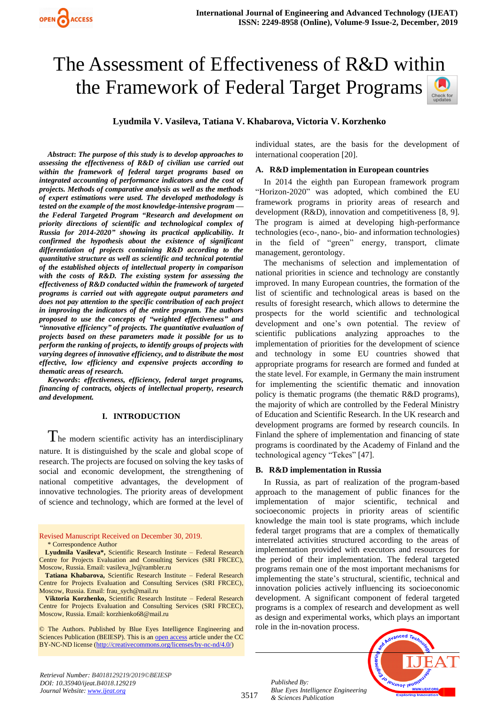# The Assessment of Effectiveness of R&D within the Framework of Federal Target Programs

**Lyudmila V. Vasileva, Tatiana V. Khabarova, Victoria V. Korzhenko**

*Abstract***:** *The purpose of this study is to develop approaches to assessing the effectiveness of R&D of civilian use carried out within the framework of federal target programs based on integrated accounting of performance indicators and the cost of projects. Methods of comparative analysis as well as the methods of expert estimations were used. The developed methodology is tested on the example of the most knowledge-intensive program the Federal Targeted Program "Research and development on priority directions of scientific and technological complex of Russia for 2014-2020" showing its practical applicability. It confirmed the hypothesis about the existence of significant differentiation of projects containing R&D according to the quantitative structure as well as scientific and technical potential of the established objects of intellectual property in comparison with the costs of R&D. The existing system for assessing the effectiveness of R&D conducted within the framework of targeted programs is carried out with aggregate output parameters and does not pay attention to the specific contribution of each project in improving the indicators of the entire program. The authors proposed to use the concepts of "weighted effectiveness" and "innovative efficiency" of projects. The quantitative evaluation of projects based on these parameters made it possible for us to perform the ranking of projects, to identify groups of projects with varying degrees of innovative efficiency, and to distribute the most effective, low efficiency and expensive projects according to thematic areas of research.*

*Keywords***:** *effectiveness, efficiency, federal target programs, financing of contracts, objects of intellectual property, research and development.*

#### **I. INTRODUCTION**

 $T$ he modern scientific activity has an interdisciplinary nature. It is distinguished by the scale and global scope of research. The projects are focused on solving the key tasks of social and economic development, the strengthening of national competitive advantages, the development of innovative technologies. The priority areas of development of science and technology, which are formed at the level of

Revised Manuscript Received on December 30, 2019. \* Correspondence Author

**Lyudmila Vasileva\*,** Scientific Research Institute – Federal Research Centre for Projects Evaluation and Consulting Services (SRI FRCEC), Moscow, Russia. Email: vasileva\_lv@rambler.ru

**Tatiana Khabarova,** Scientific Research Institute – Federal Research Centre for Projects Evaluation and Consulting Services (SRI FRCEC), Moscow, Russia. Email: frau\_sych@mail.ru

**Viktoria Korzhenko,** Scientific Research Institute – Federal Research Centre for Projects Evaluation and Consulting Services (SRI FRCEC), Moscow, Russia. Email: korzhienko68@mail.ru

© The Authors. Published by Blue Eyes Intelligence Engineering and Sciences Publication (BEIESP). This is a[n open access](https://www.openaccess.nl/en/open-publications) article under the CC BY-NC-ND license [\(http://creativecommons.org/licenses/by-nc-nd/4.0/\)](http://creativecommons.org/licenses/by-nc-nd/4.0/)

individual states, are the basis for the development of international cooperation [20].

#### **A. R&D implementation in European countries**

In 2014 the eighth pan European framework program "Horizon-2020" was adopted, which combined the EU framework programs in priority areas of research and development (R&D), innovation and competitiveness [8, 9]. The program is aimed at developing high-performance technologies (eco-, nano-, bio- and information technologies) in the field of "green" energy, transport, climate management, gerontology.

The mechanisms of selection and implementation of national priorities in science and technology are constantly improved. In many European countries, the formation of the list of scientific and technological areas is based on the results of foresight research, which allows to determine the prospects for the world scientific and technological development and one's own potential. The review of scientific publications analyzing approaches to the implementation of priorities for the development of science and technology in some EU countries showed that appropriate programs for research are formed and funded at the state level. For example, in Germany the main instrument for implementing the scientific thematic and innovation policy is thematic programs (the thematic R&D programs), the majority of which are controlled by the Federal Ministry of Education and Scientific Research. In the UK research and development programs are formed by research councils. In Finland the sphere of implementation and financing of state programs is coordinated by the Academy of Finland and the technological agency "Tekes" [47].

## **B. R&D implementation in Russia**

In Russia, as part of realization of the program-based approach to the management of public finances for the implementation of major scientific, technical and socioeconomic projects in priority areas of scientific knowledge the main tool is state programs, which include federal target programs that are a complex of thematically interrelated activities structured according to the areas of implementation provided with executors and resources for the period of their implementation. The federal targeted programs remain one of the most important mechanisms for implementing the state's structural, scientific, technical and innovation policies actively influencing its socioeconomic development. A significant component of federal targeted programs is a complex of research and development as well as design and experimental works, which plays an important role in the in-novation process.

leusnor leus *Blue Eyes Intelligence Engineering* 

*Retrieval Number: B4018129219/2019©BEIESP DOI: 10.35940/ijeat.B4018.129219 Journal Website[: www.ijeat.org](http://www.ijeat.org/)*

3517

*Published By:*

*& Sciences Publication*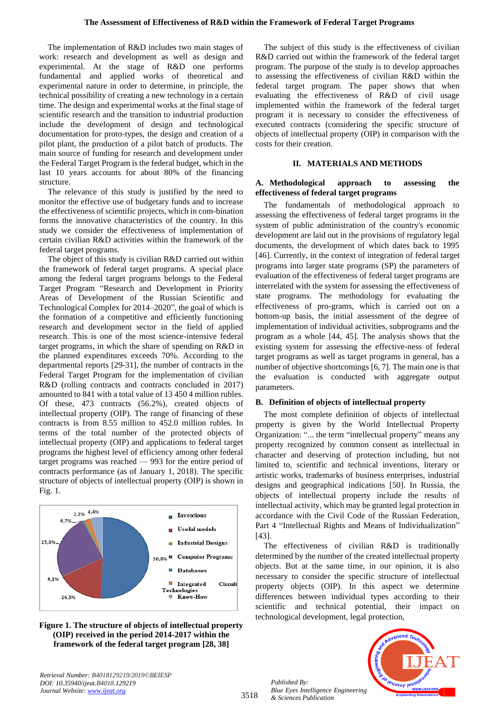The implementation of R&D includes two main stages of work: research and development as well as design and experimental. At the stage of R&D one performs fundamental and applied works of theoretical and experimental nature in order to determine, in principle, the technical possibility of creating a new technology in a certain time. The design and experimental works at the final stage of scientific research and the transition to industrial production include the development of design and technological documentation for proto-types, the design and creation of a pilot plant, the production of a pilot batch of products. The main source of funding for research and development under the Federal Target Program is the federal budget, which in the last 10 years accounts for about 80% of the financing structure.

The relevance of this study is justified by the need to monitor the effective use of budgetary funds and to increase the effectiveness of scientific projects, which in com-bination forms the innovative characteristics of the country. In this study we consider the effectiveness of implementation of certain civilian R&D activities within the framework of the federal target programs.

The object of this study is civilian R&D carried out within the framework of federal target programs. A special place among the federal target programs belongs to the Federal Target Program "Research and Development in Priority Areas of Development of the Russian Scientific and Technological Complex for 2014–2020", the goal of which is the formation of a competitive and efficiently functioning research and development sector in the field of applied research. This is one of the most science-intensive federal target programs, in which the share of spending on R&D in the planned expenditures exceeds 70%. According to the departmental reports [29-31], the number of contracts in the Federal Target Program for the implementation of civilian R&D (rolling contracts and contracts concluded in 2017) amounted to 841 with a total value of 13 450 4 million rubles. Of these, 473 contracts (56.2%), created objects of intellectual property (OIP). The range of financing of these contracts is from 8.55 million to 452.0 million rubles. In terms of the total number of the protected objects of intellectual property (OIP) and applications to federal target programs the highest level of efficiency among other federal target programs was reached — 993 for the entire period of contracts performance (as of January 1, 2018). The specific structure of objects of intellectual property (OIP) is shown in Fig. 1.



**Figure 1. The structure of objects of intellectual property (OIP) received in the period 2014-2017 within the framework of the federal target program [28, 38]**

The subject of this study is the effectiveness of civilian R&D carried out within the framework of the federal target program. The purpose of the study is to develop approaches to assessing the effectiveness of civilian R&D within the federal target program. The paper shows that when evaluating the effectiveness of R&D of civil usage implemented within the framework of the federal target program it is necessary to consider the effectiveness of executed contracts (considering the specific structure of objects of intellectual property (OIP) in comparison with the costs for their creation.

## **II. MATERIALS AND METHODS**

## **A. Methodological approach to assessing the effectiveness of federal target programs**

The fundamentals of methodological approach to assessing the effectiveness of federal target programs in the system of public administration of the country's economic development are laid out in the provisions of regulatory legal documents, the development of which dates back to 1995 [46]. Currently, in the context of integration of federal target programs into larger state programs (SP) the parameters of evaluation of the effectiveness of federal target programs are interrelated with the system for assessing the effectiveness of state programs. The methodology for evaluating the effectiveness of pro-grams, which is carried out on a bottom-up basis, the initial assessment of the degree of implementation of individual activities, subprograms and the program as a whole [44, 45]. The analysis shows that the existing system for assessing the effective-ness of federal target programs as well as target programs in general, has a number of objective shortcomings [6, 7]. The main one is that the evaluation is conducted with aggregate output parameters.

## **B. Definition of objects of intellectual property**

The most complete definition of objects of intellectual property is given by the World Intellectual Property Organization: "... the term "intellectual property" means any property recognized by common consent as intellectual in character and deserving of protection including, but not limited to, scientific and technical inventions, literary or artistic works, trademarks of business enterprises, industrial designs and geographical indications [50]. In Russia, the objects of intellectual property include the results of intellectual activity, which may be granted legal protection in accordance with the Civil Code of the Russian Federation, Part 4 "Intellectual Rights and Means of Individualization" [43].

The effectiveness of civilian R&D is traditionally determined by the number of the created intellectual property objects. But at the same time, in our opinion, it is also necessary to consider the specific structure of intellectual property objects (OIP). In this aspect we determine differences between individual types according to their scientific and technical potential, their impact on technological development, legal protection,

*Retrieval Number: B4018129219/2019©BEIESP DOI: 10.35940/ijeat.B4018.129219 Journal Website[: www.ijeat.org](http://www.ijeat.org/)*

*Published By: Blue Eyes Intelligence Engineering & Sciences Publication* 

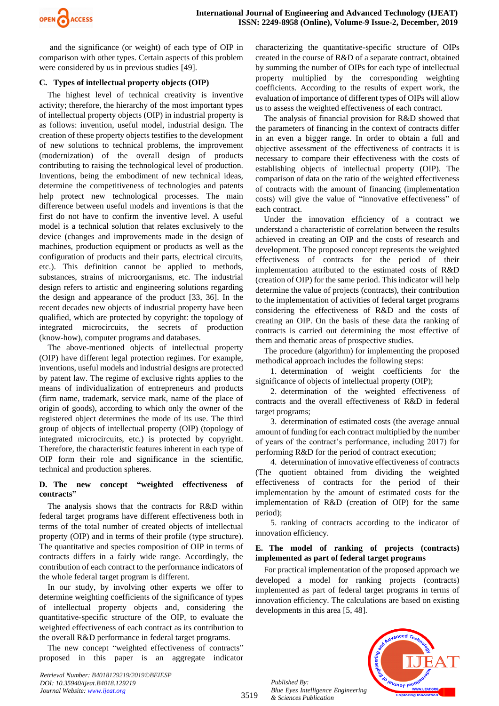

and the significance (or weight) of each type of OIP in comparison with other types. Certain aspects of this problem were considered by us in previous studies [49].

### **C. Types of intellectual property objects (OIP)**

The highest level of technical creativity is inventive activity; therefore, the hierarchy of the most important types of intellectual property objects (OIP) in industrial property is as follows: invention, useful model, industrial design. The creation of these property objects testifies to the development of new solutions to technical problems, the improvement (modernization) of the overall design of products contributing to raising the technological level of production. Inventions, being the embodiment of new technical ideas, determine the competitiveness of technologies and patents help protect new technological processes. The main difference between useful models and inventions is that the first do not have to confirm the inventive level. A useful model is a technical solution that relates exclusively to the device (changes and improvements made in the design of machines, production equipment or products as well as the configuration of products and their parts, electrical circuits, etc.). This definition cannot be applied to methods, substances, strains of microorganisms, etc. The industrial design refers to artistic and engineering solutions regarding the design and appearance of the product [33, 36]. In the recent decades new objects of industrial property have been qualified, which are protected by copyright: the topology of integrated microcircuits, the secrets of production (know-how), computer programs and databases.

The above-mentioned objects of intellectual property (OIP) have different legal protection regimes. For example, inventions, useful models and industrial designs are protected by patent law. The regime of exclusive rights applies to the means of individualization of entrepreneurs and products (firm name, trademark, service mark, name of the place of origin of goods), according to which only the owner of the registered object determines the mode of its use. The third group of objects of intellectual property (OIP) (topology of integrated microcircuits, etc.) is protected by copyright. Therefore, the characteristic features inherent in each type of OIP form their role and significance in the scientific, technical and production spheres.

# **D. The new concept "weighted effectiveness of contracts"**

The analysis shows that the contracts for R&D within federal target programs have different effectiveness both in terms of the total number of created objects of intellectual property (OIP) and in terms of their profile (type structure). The quantitative and species composition of OIP in terms of contracts differs in a fairly wide range. Accordingly, the contribution of each contract to the performance indicators of the whole federal target program is different.

In our study, by involving other experts we offer to determine weighting coefficients of the significance of types of intellectual property objects and, considering the quantitative-specific structure of the OIP, to evaluate the weighted effectiveness of each contract as its contribution to the overall R&D performance in federal target programs.

The new concept "weighted effectiveness of contracts" proposed in this paper is an aggregate indicator

*Retrieval Number: B4018129219/2019©BEIESP DOI: 10.35940/ijeat.B4018.129219 Journal Website[: www.ijeat.org](http://www.ijeat.org/)*

characterizing the quantitative-specific structure of OIPs created in the course of R&D of a separate contract, obtained by summing the number of OIPs for each type of intellectual property multiplied by the corresponding weighting coefficients. According to the results of expert work, the evaluation of importance of different types of OIPs will allow us to assess the weighted effectiveness of each contract.

The analysis of financial provision for R&D showed that the parameters of financing in the context of contracts differ in an even a bigger range. In order to obtain a full and objective assessment of the effectiveness of contracts it is necessary to compare their effectiveness with the costs of establishing objects of intellectual property (OIP). The comparison of data on the ratio of the weighted effectiveness of contracts with the amount of financing (implementation costs) will give the value of "innovative effectiveness" of each contract.

Under the innovation efficiency of a contract we understand a characteristic of correlation between the results achieved in creating an OIP and the costs of research and development. The proposed concept represents the weighted effectiveness of contracts for the period of their implementation attributed to the estimated costs of R&D (creation of OIP) for the same period. This indicator will help determine the value of projects (contracts), their contribution to the implementation of activities of federal target programs considering the effectiveness of R&D and the costs of creating an OIP. On the basis of these data the ranking of contracts is carried out determining the most effective of them and thematic areas of prospective studies.

The procedure (algorithm) for implementing the proposed methodical approach includes the following steps:

1. determination of weight coefficients for the significance of objects of intellectual property (OIP);

2. determination of the weighted effectiveness of contracts and the overall effectiveness of R&D in federal target programs;

3. determination of estimated costs (the average annual amount of funding for each contract multiplied by the number of years of the contract's performance, including 2017) for performing R&D for the period of contract execution;

4. determination of innovative effectiveness of contracts (The quotient obtained from dividing the weighted effectiveness of contracts for the period of their implementation by the amount of estimated costs for the implementation of R&D (creation of OIP) for the same period);

5. ranking of contracts according to the indicator of innovation efficiency.

# **E. The model of ranking of projects (contracts) implemented as part of federal target programs**

For practical implementation of the proposed approach we developed a model for ranking projects (contracts) implemented as part of federal target programs in terms of innovation efficiency. The calculations are based on existing developments in this area [5, 48].



*Published By: Blue Eyes Intelligence Engineering & Sciences Publication*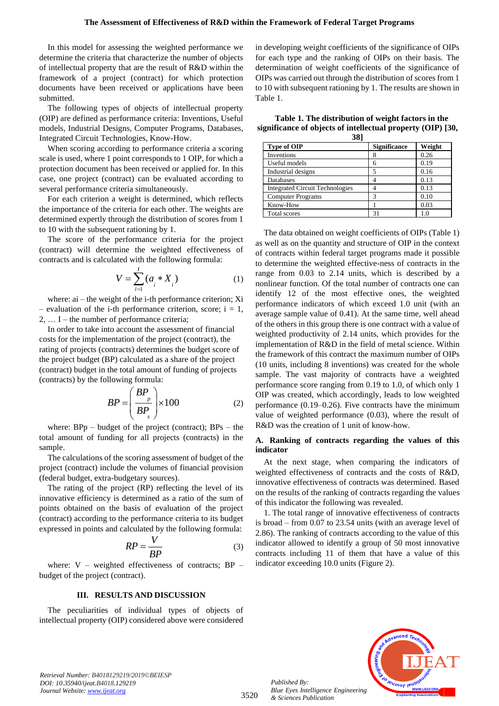In this model for assessing the weighted performance we determine the criteria that characterize the number of objects of intellectual property that are the result of R&D within the framework of a project (contract) for which protection documents have been received or applications have been submitted.

The following types of objects of intellectual property (OIP) are defined as performance criteria: Inventions, Useful models, Industrial Designs, Computer Programs, Databases, Integrated Circuit Technologies, Know-How.

When scoring according to performance criteria a scoring scale is used, where 1 point corresponds to 1 OIP, for which a protection document has been received or applied for. In this case, one project (contract) can be evaluated according to several performance criteria simultaneously.

For each criterion a weight is determined, which reflects the importance of the criteria for each other. The weights are determined expertly through the distribution of scores from 1 to 10 with the subsequent rationing by 1.

The score of the performance criteria for the project (contract) will determine the weighted effectiveness of contracts and is calculated with the following formula:

$$
V = \sum_{i=1}^{I} (a_i * X_i)
$$
 (1)

where: ai – the weight of the i-th performance criterion; Xi – evaluation of the i-th performance criterion, score;  $i = 1$ , 2, … I – the number of performance criteria;

In order to take into account the assessment of financial costs for the implementation of the project (contract), the rating of projects (contracts) determines the budget score of the project budget (BP) calculated as a share of the project (contract) budget in the total amount of funding of projects (contracts) by the following formula:

$$
BP = \left(\frac{BP_p}{BP_s}\right) \times 100\tag{2}
$$

where:  $BPp - budget$  of the project (contract);  $BPs - the$ total amount of funding for all projects (contracts) in the sample.

The calculations of the scoring assessment of budget of the project (contract) include the volumes of financial provision (federal budget, extra-budgetary sources).

The rating of the project (RP) reflecting the level of its innovative efficiency is determined as a ratio of the sum of points obtained on the basis of evaluation of the project (contract) according to the performance criteria to its budget expressed in points and calculated by the following formula:

$$
RP = \frac{V}{BP}
$$
 (3)

where:  $V$  – weighted effectiveness of contracts; BP – budget of the project (contract).

#### **III. RESULTS AND DISCUSSION**

The peculiarities of individual types of objects of intellectual property (OIP) considered above were considered in developing weight coefficients of the significance of OIPs for each type and the ranking of OIPs on their basis. The determination of weight coefficients of the significance of OIPs was carried out through the distribution of scores from 1 to 10 with subsequent rationing by 1. The results are shown in Table 1.

**Table 1. The distribution of weight factors in the significance of objects of intellectual property (OIP) [30,** 

| 38]                                    |                     |        |  |
|----------------------------------------|---------------------|--------|--|
| Type of OIP                            | <b>Significance</b> | Weight |  |
| Inventions                             | 8                   | 0.26   |  |
| Useful models                          | 6                   | 0.19   |  |
| Industrial designs                     |                     | 0.16   |  |
| Databases                              |                     | 0.13   |  |
| <b>Integrated Circuit Technologies</b> |                     | 0.13   |  |
| <b>Computer Programs</b>               | 3                   | 0.10   |  |
| Know-How                               |                     | 0.03   |  |
| <b>Total scores</b>                    |                     |        |  |

The data obtained on weight coefficients of OIPs (Table 1) as well as on the quantity and structure of OIP in the context of contracts within federal target programs made it possible to determine the weighted effective-ness of contracts in the range from 0.03 to 2.14 units, which is described by a nonlinear function. Of the total number of contracts one can identify 12 of the most effective ones, the weighted performance indicators of which exceed 1.0 unit (with an average sample value of 0.41). At the same time, well ahead of the others in this group there is one contract with a value of weighted productivity of 2.14 units, which provides for the implementation of R&D in the field of metal science. Within the framework of this contract the maximum number of OIPs (10 units, including 8 inventions) was created for the whole sample. The vast majority of contracts have a weighted performance score ranging from 0.19 to 1.0, of which only 1 OIP was created, which accordingly, leads to low weighted performance (0.19–0.26). Five contracts have the minimum value of weighted performance (0.03), where the result of R&D was the creation of 1 unit of know-how.

#### **A. Ranking of contracts regarding the values of this indicator**

At the next stage, when comparing the indicators of weighted effectiveness of contracts and the costs of R&D, innovative effectiveness of contracts was determined. Based on the results of the ranking of contracts regarding the values of this indicator the following was revealed.

1. The total range of innovative effectiveness of contracts is broad – from 0.07 to 23.54 units (with an average level of 2.86). The ranking of contracts according to the value of this indicator allowed to identify a group of 50 most innovative contracts including 11 of them that have a value of this indicator exceeding 10.0 units (Figure 2).



*Retrieval Number: B4018129219/2019©BEIESP DOI: 10.35940/ijeat.B4018.129219 Journal Website[: www.ijeat.org](http://www.ijeat.org/)*

*Published By:*

*& Sciences Publication*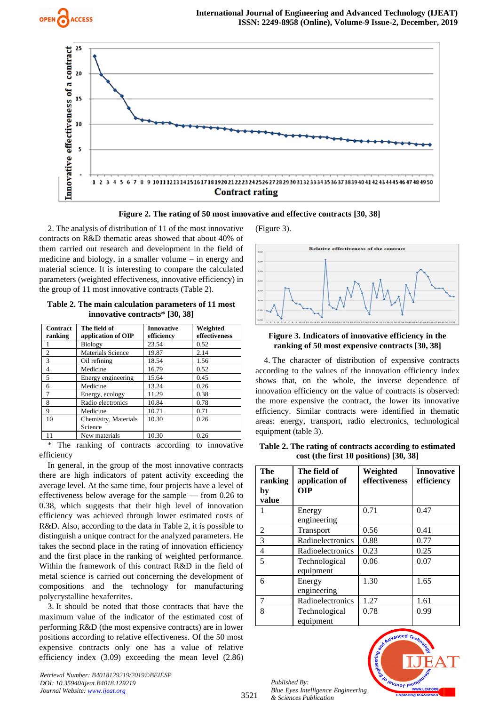





 $\overline{\phantom{a}}$ 

2. The analysis of distribution of 11 of the most innovative contracts on R&D thematic areas showed that about 40% of them carried out research and development in the field of medicine and biology, in a smaller volume – in energy and material science. It is interesting to compare the calculated parameters (weighted effectiveness, innovative efficiency) in the group of 11 most innovative contracts (Table 2).

| Table 2. The main calculation parameters of 11 most<br>innovative contracts* [30, 38] |                       |            |          |
|---------------------------------------------------------------------------------------|-----------------------|------------|----------|
|                                                                                       | Contract The field of | Innovative | Weighted |

| Contract       | The field of             | Innovative | Weighted      |
|----------------|--------------------------|------------|---------------|
| ranking        | application of OIP       | efficiency | effectiveness |
|                | <b>Biology</b>           | 23.54      | 0.52          |
| $\overline{c}$ | <b>Materials Science</b> | 19.87      | 2.14          |
| 3              | Oil refining             | 18.54      | 1.56          |
| $\overline{4}$ | Medicine                 | 16.79      | 0.52          |
| 5              | Energy engineering       | 15.64      | 0.45          |
| 6              | Medicine                 | 13.24      | 0.26          |
| 7              | Energy, ecology          | 11.29      | 0.38          |
| 8              | Radio electronics        | 10.84      | 0.78          |
| 9              | Medicine                 | 10.71      | 0.71          |
| 10             | Chemistry, Materials     | 10.30      | 0.26          |
|                | Science                  |            |               |
| 11             | New materials            | 10.30      | 0.26          |

\* The ranking of contracts according to innovative efficiency

In general, in the group of the most innovative contracts there are high indicators of patent activity exceeding the average level. At the same time, four projects have a level of effectiveness below average for the sample — from 0.26 to 0.38, which suggests that their high level of innovation efficiency was achieved through lower estimated costs of R&D. Also, according to the data in Table 2, it is possible to distinguish a unique contract for the analyzed parameters. He takes the second place in the rating of innovation efficiency and the first place in the ranking of weighted performance. Within the framework of this contract R&D in the field of metal science is carried out concerning the development of compositions and the technology for manufacturing polycrystalline hexaferrites.

3. It should be noted that those contracts that have the maximum value of the indicator of the estimated cost of performing R&D (the most expensive contracts) are in lower positions according to relative effectiveness. Of the 50 most expensive contracts only one has a value of relative efficiency index (3.09) exceeding the mean level (2.86)

*Retrieval Number: B4018129219/2019©BEIESP DOI: 10.35940/ijeat.B4018.129219 Journal Website[: www.ijeat.org](http://www.ijeat.org/)*

(Figure 3).



#### **Figure 3. Indicators of innovative efficiency in the ranking of 50 most expensive contracts [30, 38]**

4. The character of distribution of expensive contracts according to the values of the innovation efficiency index shows that, on the whole, the inverse dependence of innovation efficiency on the value of contracts is observed: the more expensive the contract, the lower its innovative efficiency. Similar contracts were identified in thematic areas: energy, transport, radio electronics, technological equipment (table 3).

**Table 2. The rating of contracts according to estimated cost (the first 10 positions) [30, 38]**

| The<br>ranking<br>by<br>value | The field of<br>application of<br>0IP | Weighted<br>effectiveness | <b>Innovative</b><br>efficiency |
|-------------------------------|---------------------------------------|---------------------------|---------------------------------|
| 1                             | Energy<br>engineering                 | 0.71                      | 0.47                            |
| 2                             | Transport                             | 0.56                      | 0.41                            |
| 3                             | Radioelectronics                      | 0.88                      | 0.77                            |
| 4                             | Radioelectronics                      | 0.23                      | 0.25                            |
| 5                             | Technological<br>equipment            | 0.06                      | 0.07                            |
| 6                             | Energy<br>engineering                 | 1.30                      | 1.65                            |
| 7                             | Radioelectronics                      | 1.27                      | 1.61                            |
| 8                             | Technological<br>equipment            | 0.78                      | 0.99                            |

*Published By: Blue Eyes Intelligence Engineering & Sciences Publication* 

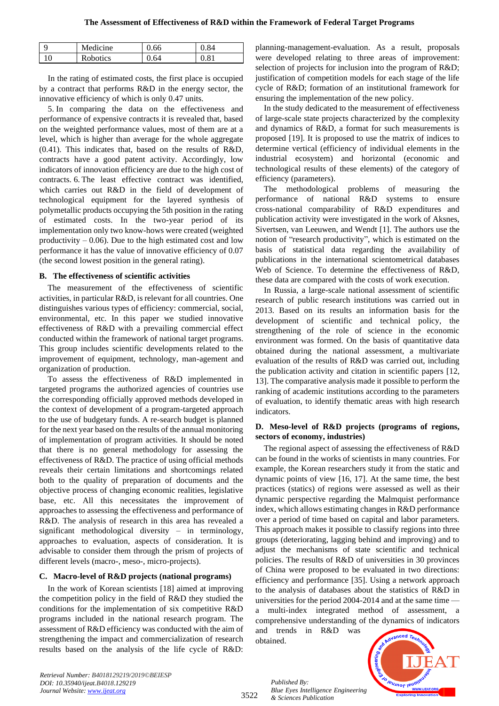| Medicine        |    | 84    |
|-----------------|----|-------|
| <b>Robotics</b> | 64 | $Q_1$ |

In the rating of estimated costs, the first place is occupied by a contract that performs R&D in the energy sector, the innovative efficiency of which is only 0.47 units.

5. In comparing the data on the effectiveness and performance of expensive contracts it is revealed that, based on the weighted performance values, most of them are at a level, which is higher than average for the whole aggregate (0.41). This indicates that, based on the results of R&D, contracts have a good patent activity. Accordingly, low indicators of innovation efficiency are due to the high cost of contracts. 6. The least effective contract was identified, which carries out R&D in the field of development of technological equipment for the layered synthesis of polymetallic products occupying the 5th position in the rating of estimated costs. In the two-year period of its implementation only two know-hows were created (weighted productivity  $-0.06$ ). Due to the high estimated cost and low performance it has the value of innovative efficiency of 0.07 (the second lowest position in the general rating).

## **B. The effectiveness of scientific activities**

The measurement of the effectiveness of scientific activities, in particular R&D, is relevant for all countries. One distinguishes various types of efficiency: commercial, social, environmental, etc. In this paper we studied innovative effectiveness of R&D with a prevailing commercial effect conducted within the framework of national target programs. This group includes scientific developments related to the improvement of equipment, technology, man-agement and organization of production.

To assess the effectiveness of R&D implemented in targeted programs the authorized agencies of countries use the corresponding officially approved methods developed in the context of development of a program-targeted approach to the use of budgetary funds. A re-search budget is planned for the next year based on the results of the annual monitoring of implementation of program activities. It should be noted that there is no general methodology for assessing the effectiveness of R&D. The practice of using official methods reveals their certain limitations and shortcomings related both to the quality of preparation of documents and the objective process of changing economic realities, legislative base, etc. All this necessitates the improvement of approaches to assessing the effectiveness and performance of R&D. The analysis of research in this area has revealed a significant methodological diversity – in terminology, approaches to evaluation, aspects of consideration. It is advisable to consider them through the prism of projects of different levels (macro-, meso-, micro-projects).

## **C. Macro-level of R&D projects (national programs)**

In the work of Korean scientists [18] aimed at improving the competition policy in the field of R&D they studied the conditions for the implementation of six competitive R&D programs included in the national research program. The assessment of R&D efficiency was conducted with the aim of strengthening the impact and commercialization of research results based on the analysis of the life cycle of R&D: planning-management-evaluation. As a result, proposals were developed relating to three areas of improvement: selection of projects for inclusion into the program of R&D; justification of competition models for each stage of the life cycle of R&D; formation of an institutional framework for ensuring the implementation of the new policy.

In the study dedicated to the measurement of effectiveness of large-scale state projects characterized by the complexity and dynamics of R&D, a format for such measurements is proposed [19]. It is proposed to use the matrix of indices to determine vertical (efficiency of individual elements in the industrial ecosystem) and horizontal (economic and technological results of these elements) of the category of efficiency (parameters).

The methodological problems of measuring the performance of national R&D systems to ensure cross-national comparability of R&D expenditures and publication activity were investigated in the work of Aksnes, Sivertsen, van Leeuwen, and Wendt [1]. The authors use the notion of "research productivity", which is estimated on the basis of statistical data regarding the availability of publications in the international scientometrical databases Web of Science. To determine the effectiveness of R&D, these data are compared with the costs of work execution.

In Russia, a large-scale national assessment of scientific research of public research institutions was carried out in 2013. Based on its results an information basis for the development of scientific and technical policy, the strengthening of the role of science in the economic environment was formed. On the basis of quantitative data obtained during the national assessment, a multivariate evaluation of the results of R&D was carried out, including the publication activity and citation in scientific papers [12, 13]. The comparative analysis made it possible to perform the ranking of academic institutions according to the parameters of evaluation, to identify thematic areas with high research indicators.

## **D. Meso-level of R&D projects (programs of regions, sectors of economy, industries)**

The regional aspect of assessing the effectiveness of R&D can be found in the works of scientists in many countries. For example, the Korean researchers study it from the static and dynamic points of view [16, 17]. At the same time, the best practices (statics) of regions were assessed as well as their dynamic perspective regarding the Malmquist performance index, which allows estimating changes in R&D performance over a period of time based on capital and labor parameters. This approach makes it possible to classify regions into three groups (deteriorating, lagging behind and improving) and to adjust the mechanisms of state scientific and technical policies. The results of R&D of universities in 30 provinces of China were proposed to be evaluated in two directions: efficiency and performance [35]. Using a network approach to the analysis of databases about the statistics of R&D in universities for the period 2004-2014 and at the same time a multi-index integrated method of assessment, a comprehensive understanding of the dynamics of indicators and trends in R&D was

obtained.



*Retrieval Number: B4018129219/2019©BEIESP DOI: 10.35940/ijeat.B4018.129219 Journal Website[: www.ijeat.org](http://www.ijeat.org/)*

3522

*Published By: Blue Eyes Intelligence Engineering & Sciences Publication*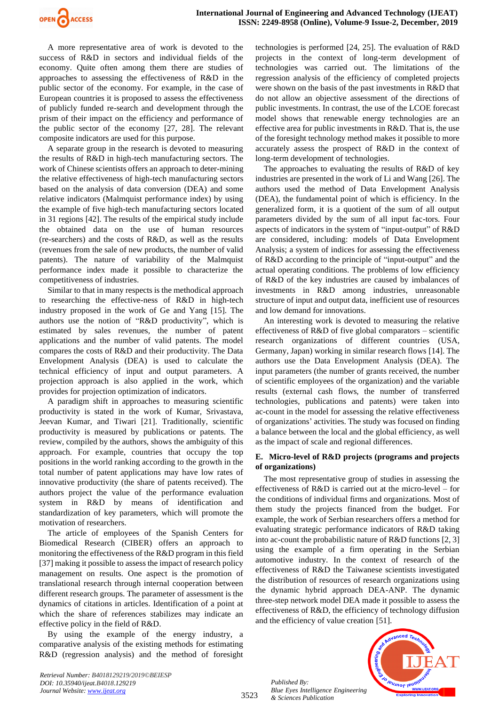

A more representative area of work is devoted to the success of R&D in sectors and individual fields of the economy. Quite often among them there are studies of approaches to assessing the effectiveness of R&D in the public sector of the economy. For example, in the case of European countries it is proposed to assess the effectiveness of publicly funded re-search and development through the prism of their impact on the efficiency and performance of the public sector of the economy [27, 28]. The relevant composite indicators are used for this purpose.

A separate group in the research is devoted to measuring the results of R&D in high-tech manufacturing sectors. The work of Chinese scientists offers an approach to deter-mining the relative effectiveness of high-tech manufacturing sectors based on the analysis of data conversion (DEA) and some relative indicators (Malmquist performance index) by using the example of five high-tech manufacturing sectors located in 31 regions [42]. The results of the empirical study include the obtained data on the use of human resources (re-searchers) and the costs of R&D, as well as the results (revenues from the sale of new products, the number of valid patents). The nature of variability of the Malmquist performance index made it possible to characterize the competitiveness of industries.

Similar to that in many respects is the methodical approach to researching the effective-ness of R&D in high-tech industry proposed in the work of Ge and Yang [15]. The authors use the notion of "R&D productivity", which is estimated by sales revenues, the number of patent applications and the number of valid patents. The model compares the costs of R&D and their productivity. The Data Envelopment Analysis (DEA) is used to calculate the technical efficiency of input and output parameters. A projection approach is also applied in the work, which provides for projection optimization of indicators.

A paradigm shift in approaches to measuring scientific productivity is stated in the work of Kumar, Srivastava, Jeevan Kumar, and Tiwari [21]. Traditionally, scientific productivity is measured by publications or patents. The review, compiled by the authors, shows the ambiguity of this approach. For example, countries that occupy the top positions in the world ranking according to the growth in the total number of patent applications may have low rates of innovative productivity (the share of patents received). The authors project the value of the performance evaluation system in R&D by means of identification and standardization of key parameters, which will promote the motivation of researchers.

The article of employees of the Spanish Centers for Biomedical Research (CIBER) offers an approach to monitoring the effectiveness of the R&D program in this field [37] making it possible to assess the impact of research policy management on results. One aspect is the promotion of translational research through internal cooperation between different research groups. The parameter of assessment is the dynamics of citations in articles. Identification of a point at which the share of references stabilizes may indicate an effective policy in the field of R&D.

By using the example of the energy industry, a comparative analysis of the existing methods for estimating R&D (regression analysis) and the method of foresight technologies is performed [24, 25]. The evaluation of R&D projects in the context of long-term development of technologies was carried out. The limitations of the regression analysis of the efficiency of completed projects were shown on the basis of the past investments in R&D that do not allow an objective assessment of the directions of public investments. In contrast, the use of the LCOE forecast model shows that renewable energy technologies are an effective area for public investments in R&D. That is, the use of the foresight technology method makes it possible to more accurately assess the prospect of R&D in the context of long-term development of technologies.

The approaches to evaluating the results of R&D of key industries are presented in the work of Li and Wang [26]. The authors used the method of Data Envelopment Analysis (DEA), the fundamental point of which is efficiency. In the generalized form, it is a quotient of the sum of all output parameters divided by the sum of all input fac-tors. Four aspects of indicators in the system of "input-output" of R&D are considered, including: models of Data Envelopment Analysis; a system of indices for assessing the effectiveness of R&D according to the principle of "input-output" and the actual operating conditions. The problems of low efficiency of R&D of the key industries are caused by imbalances of investments in R&D among industries, unreasonable structure of input and output data, inefficient use of resources and low demand for innovations.

An interesting work is devoted to measuring the relative effectiveness of  $R&D$  of five global comparators – scientific research organizations of different countries (USA, Germany, Japan) working in similar research flows [14]. The authors use the Data Envelopment Analysis (DEA). The input parameters (the number of grants received, the number of scientific employees of the organization) and the variable results (external cash flows, the number of transferred technologies, publications and patents) were taken into ac-count in the model for assessing the relative effectiveness of organizations' activities. The study was focused on finding a balance between the local and the global efficiency, as well as the impact of scale and regional differences.

## **E. Micro-level of R&D projects (programs and projects of organizations)**

The most representative group of studies in assessing the effectiveness of R&D is carried out at the micro-level – for the conditions of individual firms and organizations. Most of them study the projects financed from the budget. For example, the work of Serbian researchers offers a method for evaluating strategic performance indicators of R&D taking into ac-count the probabilistic nature of R&D functions [2, 3] using the example of a firm operating in the Serbian automotive industry. In the context of research of the effectiveness of R&D the Taiwanese scientists investigated the distribution of resources of research organizations using the dynamic hybrid approach DEA-ANP. The dynamic three-step network model DEA made it possible to assess the effectiveness of R&D, the efficiency of technology diffusion and the efficiency of value creation [51].

*Published By: Blue Eyes Intelligence Engineering & Sciences Publication* 



*Retrieval Number: B4018129219/2019©BEIESP DOI: 10.35940/ijeat.B4018.129219 Journal Website[: www.ijeat.org](http://www.ijeat.org/)*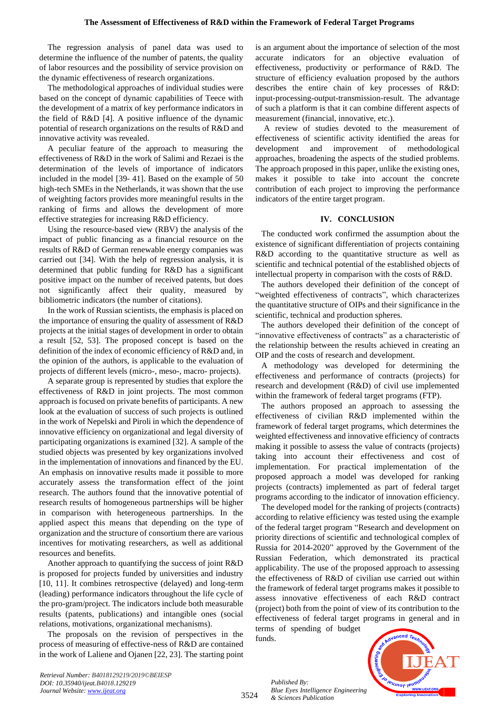The regression analysis of panel data was used to determine the influence of the number of patents, the quality of labor resources and the possibility of service provision on the dynamic effectiveness of research organizations.

The methodological approaches of individual studies were based on the concept of dynamic capabilities of Teece with the development of a matrix of key performance indicators in the field of R&D [4]. A positive influence of the dynamic potential of research organizations on the results of R&D and innovative activity was revealed.

A peculiar feature of the approach to measuring the effectiveness of R&D in the work of Salimi and Rezaei is the determination of the levels of importance of indicators included in the model [39- 41]. Based on the example of 50 high-tech SMEs in the Netherlands, it was shown that the use of weighting factors provides more meaningful results in the ranking of firms and allows the development of more effective strategies for increasing R&D efficiency.

Using the resource-based view (RBV) the analysis of the impact of public financing as a financial resource on the results of R&D of German renewable energy companies was carried out [34]. With the help of regression analysis, it is determined that public funding for R&D has a significant positive impact on the number of received patents, but does not significantly affect their quality, measured by bibliometric indicators (the number of citations).

In the work of Russian scientists, the emphasis is placed on the importance of ensuring the quality of assessment of R&D projects at the initial stages of development in order to obtain a result [52, 53]. The proposed concept is based on the definition of the index of economic efficiency of R&D and, in the opinion of the authors, is applicable to the evaluation of projects of different levels (micro-, meso-, macro- projects).

A separate group is represented by studies that explore the effectiveness of R&D in joint projects. The most common approach is focused on private benefits of participants. A new look at the evaluation of success of such projects is outlined in the work of Nepelski and Piroli in which the dependence of innovative efficiency on organizational and legal diversity of participating organizations is examined [32]. A sample of the studied objects was presented by key organizations involved in the implementation of innovations and financed by the EU. An emphasis on innovative results made it possible to more accurately assess the transformation effect of the joint research. The authors found that the innovative potential of research results of homogeneous partnerships will be higher in comparison with heterogeneous partnerships. In the applied aspect this means that depending on the type of organization and the structure of consortium there are various incentives for motivating researchers, as well as additional resources and benefits.

Another approach to quantifying the success of joint R&D is proposed for projects funded by universities and industry [10, 11]. It combines retrospective (delayed) and long-term (leading) performance indicators throughout the life cycle of the pro-gram/project. The indicators include both measurable results (patents, publications) and intangible ones (social relations, motivations, organizational mechanisms).

The proposals on the revision of perspectives in the process of measuring of effective-ness of R&D are contained in the work of Laliene and Ojanen [22, 23]. The starting point is an argument about the importance of selection of the most accurate indicators for an objective evaluation of effectiveness, productivity or performance of R&D. The structure of efficiency evaluation proposed by the authors describes the entire chain of key processes of R&D: input-processing-output-transmission-result. The advantage of such a platform is that it can combine different aspects of measurement (financial, innovative, etc.).

A review of studies devoted to the measurement of effectiveness of scientific activity identified the areas for development and improvement of methodological approaches, broadening the aspects of the studied problems. The approach proposed in this paper, unlike the existing ones, makes it possible to take into account the concrete contribution of each project to improving the performance indicators of the entire target program.

## **IV. CONCLUSION**

The conducted work confirmed the assumption about the existence of significant differentiation of projects containing R&D according to the quantitative structure as well as scientific and technical potential of the established objects of intellectual property in comparison with the costs of R&D.

The authors developed their definition of the concept of "weighted effectiveness of contracts", which characterizes the quantitative structure of OIPs and their significance in the scientific, technical and production spheres.

The authors developed their definition of the concept of "innovative effectiveness of contracts" as a characteristic of the relationship between the results achieved in creating an OIP and the costs of research and development.

A methodology was developed for determining the effectiveness and performance of contracts (projects) for research and development (R&D) of civil use implemented within the framework of federal target programs (FTP).

The authors proposed an approach to assessing the effectiveness of civilian R&D implemented within the framework of federal target programs, which determines the weighted effectiveness and innovative efficiency of contracts making it possible to assess the value of contracts (projects) taking into account their effectiveness and cost of implementation. For practical implementation of the proposed approach a model was developed for ranking projects (contracts) implemented as part of federal target programs according to the indicator of innovation efficiency.

The developed model for the ranking of projects (contracts) according to relative efficiency was tested using the example of the federal target program "Research and development on priority directions of scientific and technological complex of Russia for 2014-2020" approved by the Government of the Russian Federation, which demonstrated its practical applicability. The use of the proposed approach to assessing the effectiveness of R&D of civilian use carried out within the framework of federal target programs makes it possible to assess innovative effectiveness of each R&D contract (project) both from the point of view of its contribution to the effectiveness of federal target programs in general and in terms of spending of budget

funds.



*Published By: Blue Eyes Intelligence Engineering & Sciences Publication*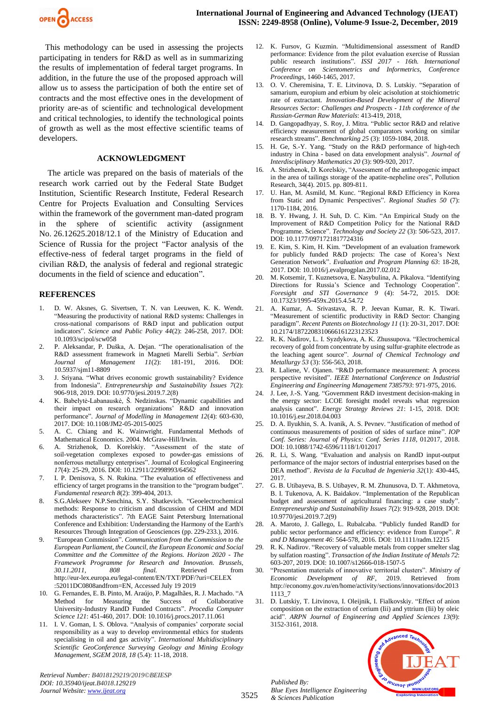

This methodology can be used in assessing the projects participating in tenders for R&D as well as in summarizing the results of implementation of federal target programs. In addition, in the future the use of the proposed approach will allow us to assess the participation of both the entire set of contracts and the most effective ones in the development of priority are-as of scientific and technological development and critical technologies, to identify the technological points of growth as well as the most effective scientific teams of developers.

#### **ACKNOWLEDGMENT**

The article was prepared on the basis of materials of the research work carried out by the Federal State Budget Institution, Scientific Research Institute, Federal Research Centre for Projects Evaluation and Consulting Services within the framework of the government man-dated program in the sphere of scientific activity (assignment No. 26.12625.2018/12.1 of the Ministry of Education and Science of Russia for the project "Factor analysis of the effective-ness of federal target programs in the field of civilian R&D, the analysis of federal and regional strategic documents in the field of science and education".

#### **REFERENCES**

- 1. D. W. Aksnes, G. Sivertsen, T. N. van Leeuwen, K. K. Wendt. "Measuring the productivity of national R&D systems: Challenges in cross-national comparisons of R&D input and publication output indicators". *Science and Public Policy 44*(2): 246-258, 2017. DOI: 10.1093/scipol/scw058
- 2. P. Aleksandar, P. Duška, A. Dejan. "The operationalisation of the R&D assessment framework in Magneti Marelli Serbia". *Serbian Journal of Management 11*(2): 181-191, 2016. DOI: 10.5937/sjm11-8809
- 3. J. Sriyana. "What drives economic growth sustainability? Evidence from Indonesia". *Entrepreneurship and Sustainability Issues 7*(2): 906-918, 2019. DOI: 10.9770/jesi.2019.7.2(8)
- 4. K. Babelytė-Labanauskė, Š. Nedzinskas. "Dynamic capabilities and their impact on research organizations' R&D and innovation performance". *Journal of Modelling in Management 12*(4): 603-630, 2017. DOI: 10.1108/JM2-05-2015-0025
- 5. A. C. Chiang and K. Wainwright. Fundamental Methods of Mathematical Economics. 2004. McGraw-Hill/Irwin.
- 6. A. Strizhenok, D. Korelskiy. "Assessment of the state of soil-vegetation complexes exposed to powder-gas emissions of nonferrous metallurgy enterprises". Journal of Ecological Engineering *17*(4): 25-29, 2016. DOI: 10.12911/22998993/64562
- 7. I. P. Denisova, S. N. Rukina. "The evaluation of effectiveness and efficiency of target programs in the transition to the "program budget". *Fundamental research 8*(2): 399-404, 2013.
- 8. S.G.Alekseev N.P.Senchina, S.Y. Shatkevich. "Geoelectrochemical methods: Response to criticism and discussion of CHIM and MDI methods characteristics". 7th EAGE Saint Petersburg International Conference and Exhibition: Understanding the Harmony of the Earth's Resources Through Integration of Geosciences (pp. 229-233.), 2016.
- 9. "European Commission". *Communication from the Commission to the European Parliament, the Council, the European Economic and Social Committee and the Committee of the Regions. Horizon 2020 - The Framework Programme for Research and Innovation. Brussels, 30.11.2011, 808 final.* Retrieved from http://eur-lex.europa.eu/legal-content/EN/TXT/PDF/?uri=CELEX :52011DC0808andfrom=EN, Accessed July 19 2019
- 10. G. Fernandes, E. B. Pinto, M. Araújo, P. Magalhães, R. J. Machado. "A Method for Measuring the Success of Collaborative University-Industry RandD Funded Contracts". *Procedia Computer Science 121*: 451-460, 2017. DOI: 10.1016/j.procs.2017.11.061
- 11. I. V. Goman, I. S. Oblova. "Analysis of companies' corporate social responsibility as a way to develop environmental ethics for students specialising in oil and gas activity". *International Multidisciplinary Scientific GeoConference Surveying Geology and Mining Ecology Management, SGEM 2018, 18* (5.4): 11-18, 2018.

*Retrieval Number: B4018129219/2019©BEIESP DOI: 10.35940/ijeat.B4018.129219 Journal Website[: www.ijeat.org](http://www.ijeat.org/)*

- 12. K. Fursov, G Kuzmin. "Multidimensional assessment of RandD performance: Evidence from the pilot evaluation exercise of Russian public research institutions". *ISSI 2017 - 16th. International Conference on Scientometrics and Informetrics, Conference Proceedings,* 1460-1465, 2017.
- 13. O. V. Cheremisina, T. E. Litvinova, D. S. Lutskiy. "Separation of samarium, europium and erbium by oleic acisolution at stoichiometric rate of extractant. *Innovation-Based Development of the Mineral Resources Sector: Challenges and Prospects - 11th conference of the Russian-German Raw Materials*: 413-419, 2018,
- 14. D. Gangopadhyay, S. Roy, J. Mitra. "Public sector R&D and relative efficiency measurement of global comparators working on similar research streams". *Benchmarking 25* (3): 1059-1084, 2018.
- 15. H. Ge, S.-Y. Yang. "Study on the R&D performance of high-tech industry in China - based on data envelopment analysis". *Journal of Interdisciplinary Mathematics 20* (3): 909-920, 2017.
- 16. A. Strizhenok, D. Korelskiy, "Assessment of the anthropogenic impact in the area of tailings storage of the apatite-nepheline ores", Pollution Research, 34(4). 2015. pp. 809-811.
- 17. U. Han, M. Asmild, M. Kunc. "Regional R&D Efficiency in Korea from Static and Dynamic Perspectives". *Regional Studies 50* (7): 1170-1184, 2016.
- 18. B. Y. Hwang, J. H. Suh, D. C. Kim. "An Empirical Study on the Improvement of R&D Competition Policy for the National R&D Programme. Science". *Technology and Society 22* (3): 506-523, 2017. DOI: 10.1177/0971721817724316
- 19. E. Kim, S. Kim, H. Kim. "Development of an evaluation framework for publicly funded R&D projects: The case of Korea's Next Generation Network". *Evaluation and Program Planning 63*: 18-28, 2017. DOI: 10.1016/j.evalprogplan.2017.02.012
- 20. M. Kotsemir, T. Kuznetsova, E. Nasybulina, A. Pikalova. "Identifying Directions for Russia's Science and Technology Cooperation". *Foresight and STI Governance 9* (4): 54-72, 2015. DOI: 10.17323/1995-459x.2015.4.54.72
- 21. A. Kumar, A. Srivastava, R. P. Jeevan Kumar, R. K. Tiwari. "Measurement of scientific productivity in R&D Sector: Changing paradigm". *Recent Patents on Biotechnology 11* (1): 20-31, 2017. DOI: 10.2174/1872208310666161223123523
- 22. R. K. Nadirov, L. I. Syzdykova, A. K. Zhussupova. "Electrochemical recovery of gold from concentrate by using sulfur-graphite electrode as the leaching agent source". *Journal of Chemical Technology and Metallurgy 53* (3): 556-563, 2018.
- 23. R. Laliene, V. Ojanen. "R&D performance measurement: A process perspective revisited". *IEEE International Conference on Industrial Engineering and Engineering Management 7385793*: 971-975, 2016.
- 24. J. Lee, J.-S. Yang. "Government R&D investment decision-making in the energy sector: LCOE foresight model reveals what regression analysis cannot". *Energy Strategy Reviews 21*: 1-15, 2018. DOI: 10.1016/j.esr.2018.04.003
- 25. D. A. Ilyukhin, S. A. Ivanik, A. S. Pevnev. "Justification of method of continuous measurements of position of sides of surface mine". *IOP Conf. Series: Journal of Physics: Conf. Series 1118*, 012017, 2018. DOI: 10.1088/1742-6596/1118/1/012017
- 26. R. Li, S. Wang. "Evaluation and analysis on RandD input-output performance of the major sectors of industrial enterprises based on the DEA method". *Revista de la Facultad de Ingenieria 32*(1): 430-445, 2017.
- 27. G. B. Utibayeva, B. S. Utibayev, R. M. Zhunusova, D. T. Akhmetova, B. I. Tukenova, A. K. Baidakov. "Implementation of the Republican budget and assessment of agricultural financing: a case study". *Entrepreneurship and Sustainability Issues 7*(2): 919-928, 2019. DOI: 10.9770/jesi.2019.7.2(9)
- 28. A. Maroto, J. Gallego, L. Rubalcaba. "Publicly funded RandD for public sector performance and efficiency: evidence from Europe". *R and D Management 46*: 564-578, 2016. DOI: 10.1111/radm.12215
- 29. R. K. Nadirov. "Recovery of valuable metals from copper smelter slag by sulfation roasting". *Transaction of the Indian Institute of Metals 72*: 603-207, 2019. DOI: 10.1007/s12666-018-1507-5
- 30. "Presentation materials of innovative territorial clusters". *Ministry of Economic Development of RF,* 2019. Retrieved from http://economy.gov.ru/en/home/activity/sections/innovations/doc2013 1113\_7
- 31. D. Lutskiy, T. Litvinova, I. Oleijnik, I. Fialkovskiy. "Effect of anion composition on the extraction of cerium (Iii) and yttrium (Iii) by oleic acid". *ARPN Journal of Engineering and Applied Sciences 13*(9): 3152-3161, 2018.

*Published By: Blue Eyes Intelligence Engineering & Sciences Publication*